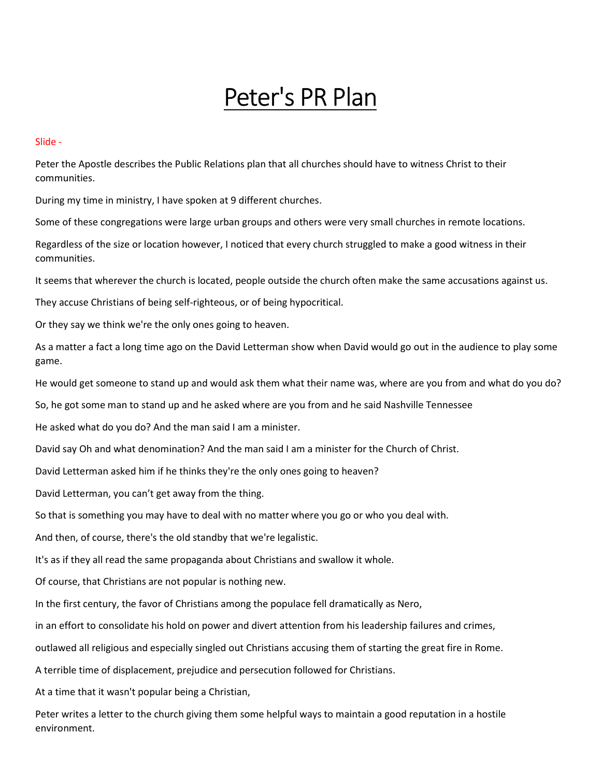# Peter's PR Plan

Slide -

Peter the Apostle describes the Public Relations plan that all churches should have to witness Christ to their communities.

During my time in ministry, I have spoken at 9 different churches.

Some of these congregations were large urban groups and others were very small churches in remote locations.

Regardless of the size or location however, I noticed that every church struggled to make a good witness in their communities.

It seems that wherever the church is located, people outside the church often make the same accusations against us.

They accuse Christians of being self-righteous, or of being hypocritical.

Or they say we think we're the only ones going to heaven.

As a matter a fact a long time ago on the David Letterman show when David would go out in the audience to play some game.

He would get someone to stand up and would ask them what their name was, where are you from and what do you do?

So, he got some man to stand up and he asked where are you from and he said Nashville Tennessee

He asked what do you do? And the man said I am a minister.

David say Oh and what denomination? And the man said I am a minister for the Church of Christ.

David Letterman asked him if he thinks they're the only ones going to heaven?

David Letterman, you can't get away from the thing.

So that is something you may have to deal with no matter where you go or who you deal with.

And then, of course, there's the old standby that we're legalistic.

It's as if they all read the same propaganda about Christians and swallow it whole.

Of course, that Christians are not popular is nothing new.

In the first century, the favor of Christians among the populace fell dramatically as Nero,

in an effort to consolidate his hold on power and divert attention from his leadership failures and crimes,

outlawed all religious and especially singled out Christians accusing them of starting the great fire in Rome.

A terrible time of displacement, prejudice and persecution followed for Christians.

At a time that it wasn't popular being a Christian,

Peter writes a letter to the church giving them some helpful ways to maintain a good reputation in a hostile environment.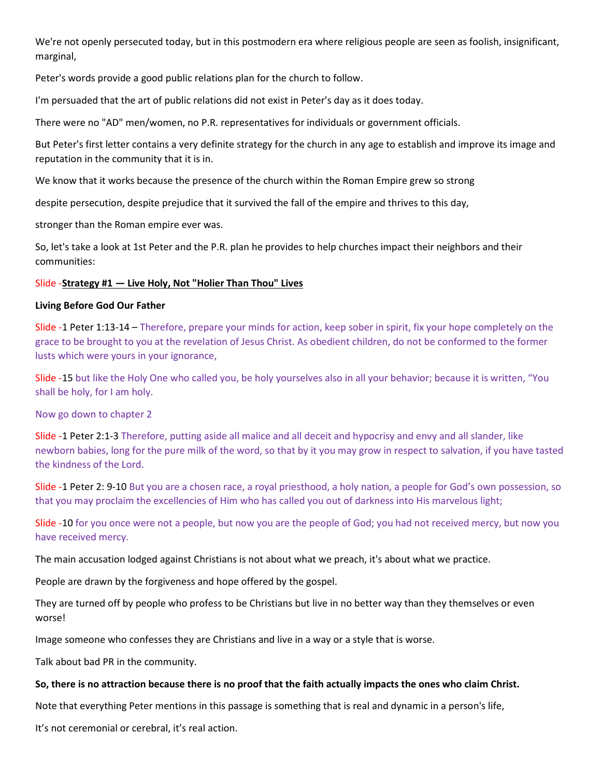We're not openly persecuted today, but in this postmodern era where religious people are seen as foolish, insignificant, marginal,

Peter's words provide a good public relations plan for the church to follow.

I'm persuaded that the art of public relations did not exist in Peter's day as it does today.

There were no "AD" men/women, no P.R. representatives for individuals or government officials.

But Peter's first letter contains a very definite strategy for the church in any age to establish and improve its image and reputation in the community that it is in.

We know that it works because the presence of the church within the Roman Empire grew so strong

despite persecution, despite prejudice that it survived the fall of the empire and thrives to this day,

stronger than the Roman empire ever was.

So, let's take a look at 1st Peter and the P.R. plan he provides to help churches impact their neighbors and their communities:

# Slide -Strategy #1 — Live Holy, Not "Holier Than Thou" Lives

# Living Before God Our Father

Slide -1 Peter 1:13-14 – Therefore, prepare your minds for action, keep sober in spirit, fix your hope completely on the grace to be brought to you at the revelation of Jesus Christ. As obedient children, do not be conformed to the former lusts which were yours in your ignorance,

Slide -15 but like the Holy One who called you, be holy yourselves also in all your behavior; because it is written, "You shall be holy, for I am holy.

Now go down to chapter 2

Slide -1 Peter 2:1-3 Therefore, putting aside all malice and all deceit and hypocrisy and envy and all slander, like newborn babies, long for the pure milk of the word, so that by it you may grow in respect to salvation, if you have tasted the kindness of the Lord.

Slide -1 Peter 2: 9-10 But you are a chosen race, a royal priesthood, a holy nation, a people for God's own possession, so that you may proclaim the excellencies of Him who has called you out of darkness into His marvelous light;

Slide -10 for you once were not a people, but now you are the people of God; you had not received mercy, but now you have received mercy.

The main accusation lodged against Christians is not about what we preach, it's about what we practice.

People are drawn by the forgiveness and hope offered by the gospel.

They are turned off by people who profess to be Christians but live in no better way than they themselves or even worse!

Image someone who confesses they are Christians and live in a way or a style that is worse.

Talk about bad PR in the community.

# So, there is no attraction because there is no proof that the faith actually impacts the ones who claim Christ.

Note that everything Peter mentions in this passage is something that is real and dynamic in a person's life,

It's not ceremonial or cerebral, it's real action.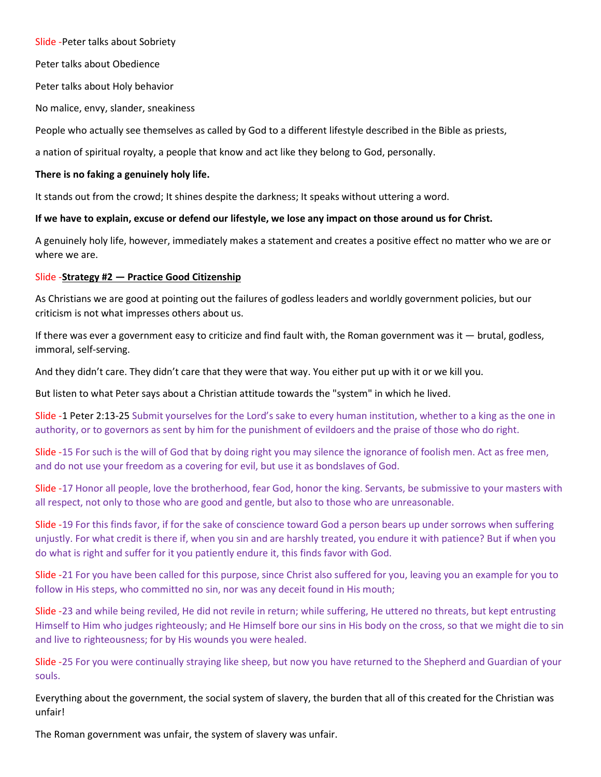Slide -Peter talks about Sobriety

Peter talks about Obedience

Peter talks about Holy behavior

No malice, envy, slander, sneakiness

People who actually see themselves as called by God to a different lifestyle described in the Bible as priests,

a nation of spiritual royalty, a people that know and act like they belong to God, personally.

## There is no faking a genuinely holy life.

It stands out from the crowd; It shines despite the darkness; It speaks without uttering a word.

## If we have to explain, excuse or defend our lifestyle, we lose any impact on those around us for Christ.

A genuinely holy life, however, immediately makes a statement and creates a positive effect no matter who we are or where we are.

## Slide -Strategy #2 — Practice Good Citizenship

As Christians we are good at pointing out the failures of godless leaders and worldly government policies, but our criticism is not what impresses others about us.

If there was ever a government easy to criticize and find fault with, the Roman government was it  $-$  brutal, godless, immoral, self-serving.

And they didn't care. They didn't care that they were that way. You either put up with it or we kill you.

But listen to what Peter says about a Christian attitude towards the "system" in which he lived.

Slide -1 Peter 2:13-25 Submit yourselves for the Lord's sake to every human institution, whether to a king as the one in authority, or to governors as sent by him for the punishment of evildoers and the praise of those who do right.

Slide -15 For such is the will of God that by doing right you may silence the ignorance of foolish men. Act as free men, and do not use your freedom as a covering for evil, but use it as bondslaves of God.

Slide -17 Honor all people, love the brotherhood, fear God, honor the king. Servants, be submissive to your masters with all respect, not only to those who are good and gentle, but also to those who are unreasonable.

Slide -19 For this finds favor, if for the sake of conscience toward God a person bears up under sorrows when suffering unjustly. For what credit is there if, when you sin and are harshly treated, you endure it with patience? But if when you do what is right and suffer for it you patiently endure it, this finds favor with God.

Slide -21 For you have been called for this purpose, since Christ also suffered for you, leaving you an example for you to follow in His steps, who committed no sin, nor was any deceit found in His mouth;

Slide -23 and while being reviled, He did not revile in return; while suffering, He uttered no threats, but kept entrusting Himself to Him who judges righteously; and He Himself bore our sins in His body on the cross, so that we might die to sin and live to righteousness; for by His wounds you were healed.

Slide -25 For you were continually straying like sheep, but now you have returned to the Shepherd and Guardian of your souls.

Everything about the government, the social system of slavery, the burden that all of this created for the Christian was unfair!

The Roman government was unfair, the system of slavery was unfair.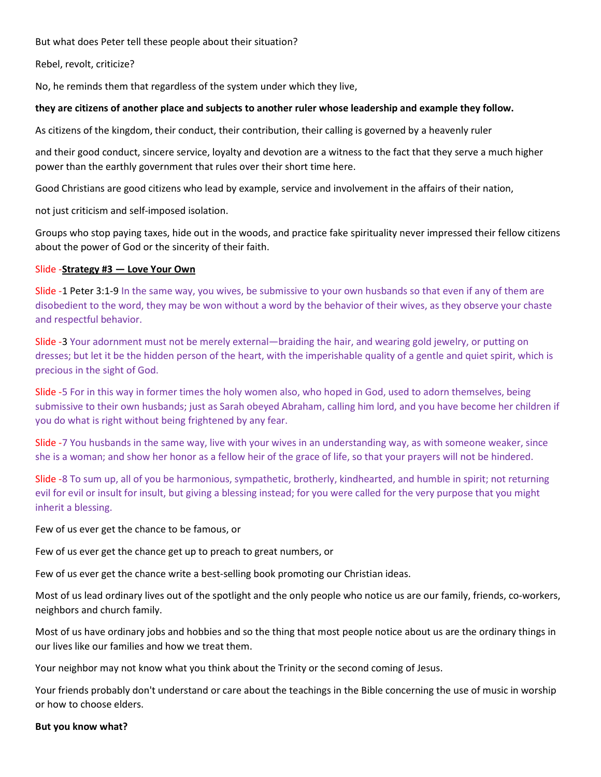But what does Peter tell these people about their situation?

Rebel, revolt, criticize?

No, he reminds them that regardless of the system under which they live,

## they are citizens of another place and subjects to another ruler whose leadership and example they follow.

As citizens of the kingdom, their conduct, their contribution, their calling is governed by a heavenly ruler

and their good conduct, sincere service, loyalty and devotion are a witness to the fact that they serve a much higher power than the earthly government that rules over their short time here.

Good Christians are good citizens who lead by example, service and involvement in the affairs of their nation,

not just criticism and self-imposed isolation.

Groups who stop paying taxes, hide out in the woods, and practice fake spirituality never impressed their fellow citizens about the power of God or the sincerity of their faith.

#### Slide -Strategy #3 - Love Your Own

Slide -1 Peter 3:1-9 In the same way, you wives, be submissive to your own husbands so that even if any of them are disobedient to the word, they may be won without a word by the behavior of their wives, as they observe your chaste and respectful behavior.

Slide -3 Your adornment must not be merely external—braiding the hair, and wearing gold jewelry, or putting on dresses; but let it be the hidden person of the heart, with the imperishable quality of a gentle and quiet spirit, which is precious in the sight of God.

Slide -5 For in this way in former times the holy women also, who hoped in God, used to adorn themselves, being submissive to their own husbands; just as Sarah obeyed Abraham, calling him lord, and you have become her children if you do what is right without being frightened by any fear.

Slide -7 You husbands in the same way, live with your wives in an understanding way, as with someone weaker, since she is a woman; and show her honor as a fellow heir of the grace of life, so that your prayers will not be hindered.

Slide -8 To sum up, all of you be harmonious, sympathetic, brotherly, kindhearted, and humble in spirit; not returning evil for evil or insult for insult, but giving a blessing instead; for you were called for the very purpose that you might inherit a blessing.

Few of us ever get the chance to be famous, or

Few of us ever get the chance get up to preach to great numbers, or

Few of us ever get the chance write a best-selling book promoting our Christian ideas.

Most of us lead ordinary lives out of the spotlight and the only people who notice us are our family, friends, co-workers, neighbors and church family.

Most of us have ordinary jobs and hobbies and so the thing that most people notice about us are the ordinary things in our lives like our families and how we treat them.

Your neighbor may not know what you think about the Trinity or the second coming of Jesus.

Your friends probably don't understand or care about the teachings in the Bible concerning the use of music in worship or how to choose elders.

#### But you know what?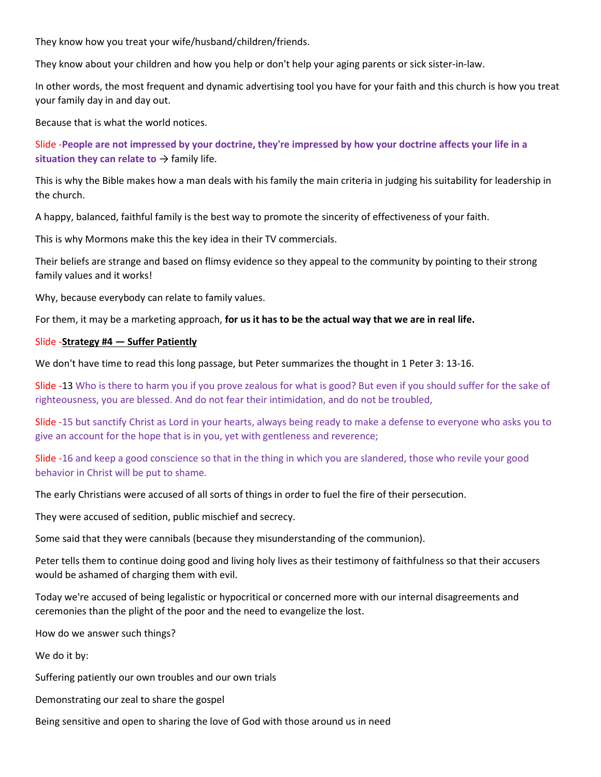They know how you treat your wife/husband/children/friends.

They know about your children and how you help or don't help your aging parents or sick sister-in-law.

In other words, the most frequent and dynamic advertising tool you have for your faith and this church is how you treat your family day in and day out.

Because that is what the world notices.

Slide -People are not impressed by your doctrine, they're impressed by how your doctrine affects your life in a situation they can relate to  $\rightarrow$  family life.

This is why the Bible makes how a man deals with his family the main criteria in judging his suitability for leadership in the church.

A happy, balanced, faithful family is the best way to promote the sincerity of effectiveness of your faith.

This is why Mormons make this the key idea in their TV commercials.

Their beliefs are strange and based on flimsy evidence so they appeal to the community by pointing to their strong family values and it works!

Why, because everybody can relate to family values.

For them, it may be a marketing approach, for us it has to be the actual way that we are in real life.

#### Slide -Strategy #4 — Suffer Patiently

We don't have time to read this long passage, but Peter summarizes the thought in 1 Peter 3: 13-16.

Slide -13 Who is there to harm you if you prove zealous for what is good? But even if you should suffer for the sake of righteousness, you are blessed. And do not fear their intimidation, and do not be troubled,

Slide -15 but sanctify Christ as Lord in your hearts, always being ready to make a defense to everyone who asks you to give an account for the hope that is in you, yet with gentleness and reverence;

Slide -16 and keep a good conscience so that in the thing in which you are slandered, those who revile your good behavior in Christ will be put to shame.

The early Christians were accused of all sorts of things in order to fuel the fire of their persecution.

They were accused of sedition, public mischief and secrecy.

Some said that they were cannibals (because they misunderstanding of the communion).

Peter tells them to continue doing good and living holy lives as their testimony of faithfulness so that their accusers would be ashamed of charging them with evil.

Today we're accused of being legalistic or hypocritical or concerned more with our internal disagreements and ceremonies than the plight of the poor and the need to evangelize the lost.

How do we answer such things?

We do it by:

Suffering patiently our own troubles and our own trials

Demonstrating our zeal to share the gospel

Being sensitive and open to sharing the love of God with those around us in need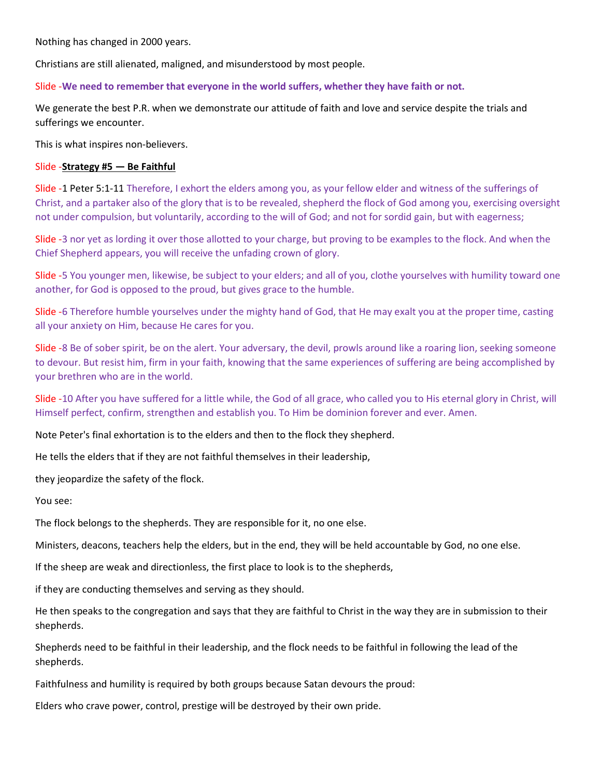Nothing has changed in 2000 years.

Christians are still alienated, maligned, and misunderstood by most people.

Slide -We need to remember that everyone in the world suffers, whether they have faith or not.

We generate the best P.R. when we demonstrate our attitude of faith and love and service despite the trials and sufferings we encounter.

This is what inspires non-believers.

## Slide -Strategy #5 — Be Faithful

Slide -1 Peter 5:1-11 Therefore, I exhort the elders among you, as your fellow elder and witness of the sufferings of Christ, and a partaker also of the glory that is to be revealed, shepherd the flock of God among you, exercising oversight not under compulsion, but voluntarily, according to the will of God; and not for sordid gain, but with eagerness;

Slide -3 nor yet as lording it over those allotted to your charge, but proving to be examples to the flock. And when the Chief Shepherd appears, you will receive the unfading crown of glory.

Slide -5 You younger men, likewise, be subject to your elders; and all of you, clothe yourselves with humility toward one another, for God is opposed to the proud, but gives grace to the humble.

Slide -6 Therefore humble yourselves under the mighty hand of God, that He may exalt you at the proper time, casting all your anxiety on Him, because He cares for you.

Slide -8 Be of sober spirit, be on the alert. Your adversary, the devil, prowls around like a roaring lion, seeking someone to devour. But resist him, firm in your faith, knowing that the same experiences of suffering are being accomplished by your brethren who are in the world.

Slide -10 After you have suffered for a little while, the God of all grace, who called you to His eternal glory in Christ, will Himself perfect, confirm, strengthen and establish you. To Him be dominion forever and ever. Amen.

Note Peter's final exhortation is to the elders and then to the flock they shepherd.

He tells the elders that if they are not faithful themselves in their leadership,

they jeopardize the safety of the flock.

You see:

The flock belongs to the shepherds. They are responsible for it, no one else.

Ministers, deacons, teachers help the elders, but in the end, they will be held accountable by God, no one else.

If the sheep are weak and directionless, the first place to look is to the shepherds,

if they are conducting themselves and serving as they should.

He then speaks to the congregation and says that they are faithful to Christ in the way they are in submission to their shepherds.

Shepherds need to be faithful in their leadership, and the flock needs to be faithful in following the lead of the shepherds.

Faithfulness and humility is required by both groups because Satan devours the proud:

Elders who crave power, control, prestige will be destroyed by their own pride.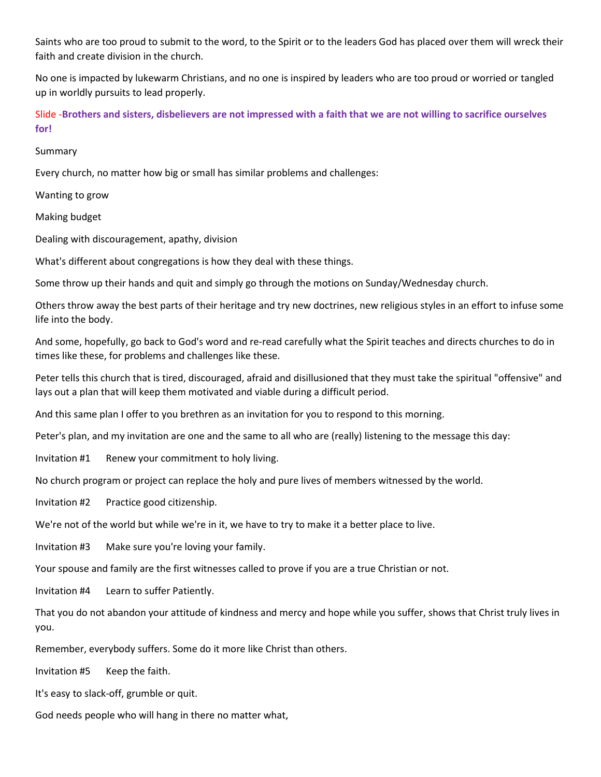Saints who are too proud to submit to the word, to the Spirit or to the leaders God has placed over them will wreck their faith and create division in the church.

No one is impacted by lukewarm Christians, and no one is inspired by leaders who are too proud or worried or tangled up in worldly pursuits to lead properly.

Slide -Brothers and sisters, disbelievers are not impressed with a faith that we are not willing to sacrifice ourselves for!

Summary

Every church, no matter how big or small has similar problems and challenges:

Wanting to grow

Making budget

Dealing with discouragement, apathy, division

What's different about congregations is how they deal with these things.

Some throw up their hands and quit and simply go through the motions on Sunday/Wednesday church.

Others throw away the best parts of their heritage and try new doctrines, new religious styles in an effort to infuse some life into the body.

And some, hopefully, go back to God's word and re-read carefully what the Spirit teaches and directs churches to do in times like these, for problems and challenges like these.

Peter tells this church that is tired, discouraged, afraid and disillusioned that they must take the spiritual "offensive" and lays out a plan that will keep them motivated and viable during a difficult period.

And this same plan I offer to you brethren as an invitation for you to respond to this morning.

Peter's plan, and my invitation are one and the same to all who are (really) listening to the message this day:

Invitation #1 Renew your commitment to holy living.

No church program or project can replace the holy and pure lives of members witnessed by the world.

Invitation #2 Practice good citizenship.

We're not of the world but while we're in it, we have to try to make it a better place to live.

Invitation #3 Make sure you're loving your family.

Your spouse and family are the first witnesses called to prove if you are a true Christian or not.

Invitation #4 Learn to suffer Patiently.

That you do not abandon your attitude of kindness and mercy and hope while you suffer, shows that Christ truly lives in you.

Remember, everybody suffers. Some do it more like Christ than others.

Invitation #5 Keep the faith.

It's easy to slack-off, grumble or quit.

God needs people who will hang in there no matter what,